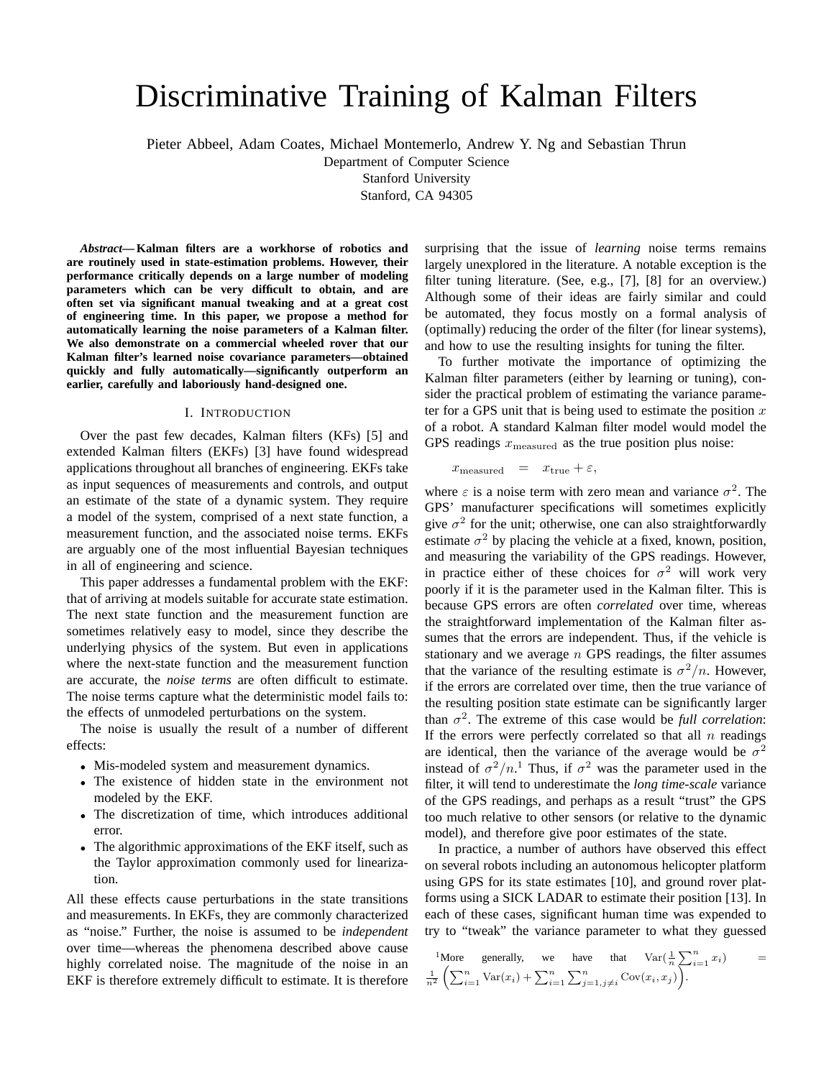# Discriminative Training of Kalman Filters

Pieter Abbeel, Adam Coates, Michael Montemerlo, Andrew Y. Ng and Sebastian Thrun

Department of Computer Science

Stanford University

Stanford, CA 94305

*Abstract***—Kalman filters are a workhorse of robotics and are routinely used in state-estimation problems. However, their performance critically depends on a large number of modeling parameters which can be very difficult to obtain, and are often set via significant manual tweaking and at a great cost of engineering time. In this paper, we propose a method for automatically learning the noise parameters of a Kalman filter. We also demonstrate on a commercial wheeled rover that our Kalman filter's learned noise covariance parameters—obtained quickly and fully automatically—significantly outperform an earlier, carefully and laboriously hand-designed one.**

## I. INTRODUCTION

Over the past few decades, Kalman filters (KFs) [5] and extended Kalman filters (EKFs) [3] have found widespread applications throughout all branches of engineering. EKFs take as input sequences of measurements and controls, and output an estimate of the state of a dynamic system. They require a model of the system, comprised of a next state function, a measurement function, and the associated noise terms. EKFs are arguably one of the most influential Bayesian techniques in all of engineering and science.

This paper addresses a fundamental problem with the EKF: that of arriving at models suitable for accurate state estimation. The next state function and the measurement function are sometimes relatively easy to model, since they describe the underlying physics of the system. But even in applications where the next-state function and the measurement function are accurate, the *noise terms* are often difficult to estimate. The noise terms capture what the deterministic model fails to: the effects of unmodeled perturbations on the system.

The noise is usually the result of a number of different effects:

- Mis-modeled system and measurement dynamics.
- The existence of hidden state in the environment not modeled by the EKF.
- The discretization of time, which introduces additional error.
- The algorithmic approximations of the EKF itself, such as the Taylor approximation commonly used for linearization.

All these effects cause perturbations in the state transitions and measurements. In EKFs, they are commonly characterized as "noise." Further, the noise is assumed to be *independent* over time—whereas the phenomena described above cause highly correlated noise. The magnitude of the noise in an EKF is therefore extremely difficult to estimate. It is therefore surprising that the issue of *learning* noise terms remains largely unexplored in the literature. A notable exception is the filter tuning literature. (See, e.g., [7], [8] for an overview.) Although some of their ideas are fairly similar and could be automated, they focus mostly on a formal analysis of (optimally) reducing the order of the filter (for linear systems), and how to use the resulting insights for tuning the filter.

To further motivate the importance of optimizing the Kalman filter parameters (either by learning or tuning), consider the practical problem of estimating the variance parameter for a GPS unit that is being used to estimate the position  $x$ of a robot. A standard Kalman filter model would model the GPS readings  $x_{\text{measured}}$  as the true position plus noise:

 $x_{\text{measured}} = x_{\text{true}} + \varepsilon,$ 

where  $\varepsilon$  is a noise term with zero mean and variance  $\sigma^2$ . The GPS' manufacturer specifications will sometimes explicitly give  $\sigma^2$  for the unit; otherwise, one can also straightforwardly estimate  $\sigma^2$  by placing the vehicle at a fixed, known, position, and measuring the variability of the GPS readings. However, in practice either of these choices for  $\sigma^2$  will work very poorly if it is the parameter used in the Kalman filter. This is because GPS errors are often *correlated* over time, whereas the straightforward implementation of the Kalman filter assumes that the errors are independent. Thus, if the vehicle is stationary and we average  $n$  GPS readings, the filter assumes that the variance of the resulting estimate is  $\sigma^2/n$ . However, if the errors are correlated over time, then the true variance of the resulting position state estimate can be significantly larger than  $\sigma^2$ . The extreme of this case would be *full correlation*: If the errors were perfectly correlated so that all  $n$  readings are identical, then the variance of the average would be  $\sigma^2$ instead of  $\sigma^2/n$ <sup>1</sup>. Thus, if  $\sigma^2$  was the parameter used in the filter, it will tend to underestimate the *long time-scale* variance of the GPS readings, and perhaps as a result "trust" the GPS too much relative to other sensors (or relative to the dynamic model), and therefore give poor estimates of the state.

In practice, a number of authors have observed this effect on several robots including an autonomous helicopter platform using GPS for its state estimates [10], and ground rover platforms using a SICK LADAR to estimate their position [13]. In each of these cases, significant human time was expended to try to "tweak" the variance parameter to what they guessed

$$
\begin{array}{lll}\n\text{1More} & \text{generally,} & \text{we} & \text{have} & \text{that} & \text{Var}\left(\frac{1}{n}\sum_{i=1}^{n} x_i\right) \\
\frac{1}{n^2} \left( \sum_{i=1}^{n} \text{Var}(x_i) + \sum_{i=1}^{n} \sum_{j=1, j \neq i}^{n} \text{Cov}(x_i, x_j) \right).\n\end{array} \tag{4}
$$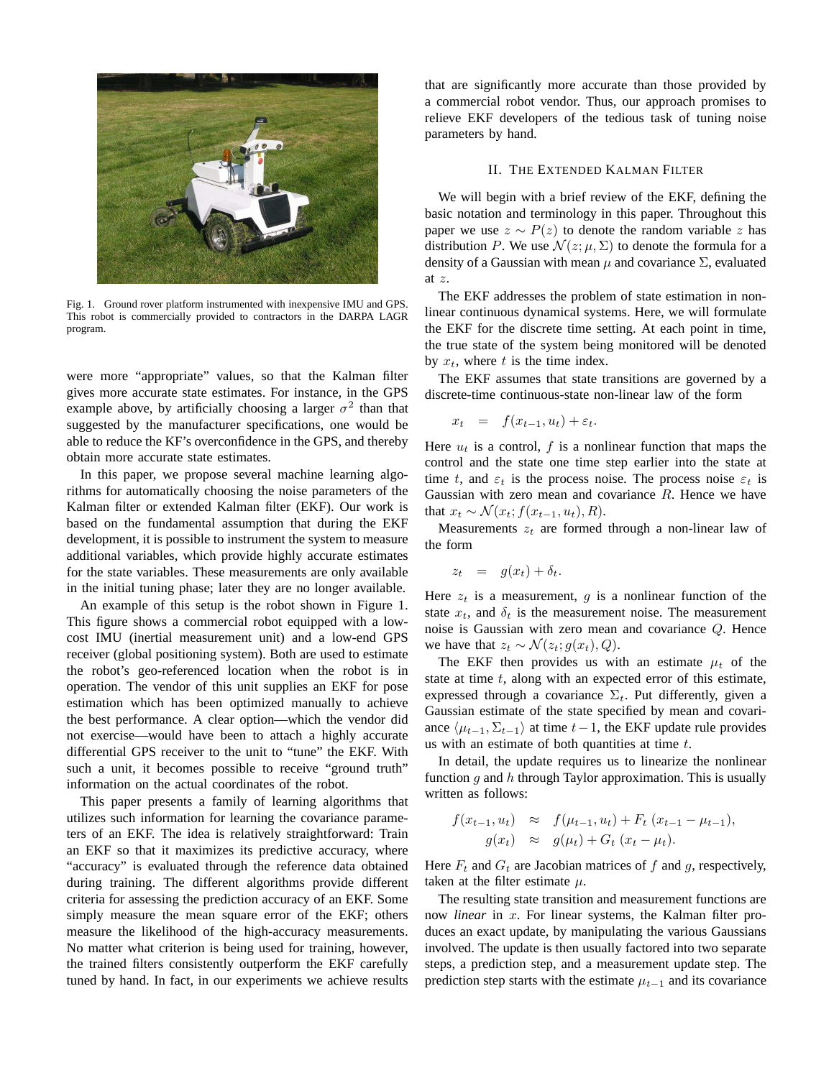

Fig. 1. Ground rover platform instrumented with inexpensive IMU and GPS. This robot is commercially provided to contractors in the DARPA LAGR program.

were more "appropriate" values, so that the Kalman filter gives more accurate state estimates. For instance, in the GPS example above, by artificially choosing a larger  $\sigma^2$  than that suggested by the manufacturer specifications, one would be able to reduce the KF's overconfidence in the GPS, and thereby obtain more accurate state estimates.

In this paper, we propose several machine learning algorithms for automatically choosing the noise parameters of the Kalman filter or extended Kalman filter (EKF). Our work is based on the fundamental assumption that during the EKF development, it is possible to instrument the system to measure additional variables, which provide highly accurate estimates for the state variables. These measurements are only available in the initial tuning phase; later they are no longer available.

An example of this setup is the robot shown in Figure 1. This figure shows a commercial robot equipped with a lowcost IMU (inertial measurement unit) and a low-end GPS receiver (global positioning system). Both are used to estimate the robot's geo-referenced location when the robot is in operation. The vendor of this unit supplies an EKF for pose estimation which has been optimized manually to achieve the best performance. A clear option—which the vendor did not exercise—would have been to attach a highly accurate differential GPS receiver to the unit to "tune" the EKF. With such a unit, it becomes possible to receive "ground truth" information on the actual coordinates of the robot.

This paper presents a family of learning algorithms that utilizes such information for learning the covariance parameters of an EKF. The idea is relatively straightforward: Train an EKF so that it maximizes its predictive accuracy, where "accuracy" is evaluated through the reference data obtained during training. The different algorithms provide different criteria for assessing the prediction accuracy of an EKF. Some simply measure the mean square error of the EKF; others measure the likelihood of the high-accuracy measurements. No matter what criterion is being used for training, however, the trained filters consistently outperform the EKF carefully tuned by hand. In fact, in our experiments we achieve results that are significantly more accurate than those provided by a commercial robot vendor. Thus, our approach promises to relieve EKF developers of the tedious task of tuning noise parameters by hand.

# II. THE EXTENDED KALMAN FILTER

We will begin with a brief review of the EKF, defining the basic notation and terminology in this paper. Throughout this paper we use  $z \sim P(z)$  to denote the random variable z has distribution P. We use  $\mathcal{N}(z; \mu, \Sigma)$  to denote the formula for a density of a Gaussian with mean  $\mu$  and covariance  $\Sigma$ , evaluated at z.

The EKF addresses the problem of state estimation in nonlinear continuous dynamical systems. Here, we will formulate the EKF for the discrete time setting. At each point in time, the true state of the system being monitored will be denoted by  $x_t$ , where t is the time index.

The EKF assumes that state transitions are governed by a discrete-time continuous-state non-linear law of the form

$$
x_t = f(x_{t-1}, u_t) + \varepsilon_t.
$$

Here  $u_t$  is a control, f is a nonlinear function that maps the control and the state one time step earlier into the state at time t, and  $\varepsilon_t$  is the process noise. The process noise  $\varepsilon_t$  is Gaussian with zero mean and covariance  $R$ . Hence we have that  $x_t \sim \mathcal{N}(x_t; f(x_{t-1}, u_t), R)$ .

Measurements  $z_t$  are formed through a non-linear law of the form

$$
z_t = g(x_t) + \delta_t.
$$

Here  $z_t$  is a measurement, q is a nonlinear function of the state  $x_t$ , and  $\delta_t$  is the measurement noise. The measurement noise is Gaussian with zero mean and covariance Q. Hence we have that  $z_t \sim \mathcal{N}(z_t; g(x_t), Q)$ .

The EKF then provides us with an estimate  $\mu_t$  of the state at time  $t$ , along with an expected error of this estimate, expressed through a covariance  $\Sigma_t$ . Put differently, given a Gaussian estimate of the state specified by mean and covariance  $\langle \mu_{t-1}, \Sigma_{t-1} \rangle$  at time  $t-1$ , the EKF update rule provides us with an estimate of both quantities at time  $t$ .

In detail, the update requires us to linearize the nonlinear function  $g$  and  $h$  through Taylor approximation. This is usually written as follows:

$$
f(x_{t-1}, u_t) \approx f(\mu_{t-1}, u_t) + F_t (x_{t-1} - \mu_{t-1}),
$$
  
 
$$
g(x_t) \approx g(\mu_t) + G_t (x_t - \mu_t).
$$

Here  $F_t$  and  $G_t$  are Jacobian matrices of f and g, respectively, taken at the filter estimate  $\mu$ .

The resulting state transition and measurement functions are now *linear* in x. For linear systems, the Kalman filter produces an exact update, by manipulating the various Gaussians involved. The update is then usually factored into two separate steps, a prediction step, and a measurement update step. The prediction step starts with the estimate  $\mu_{t-1}$  and its covariance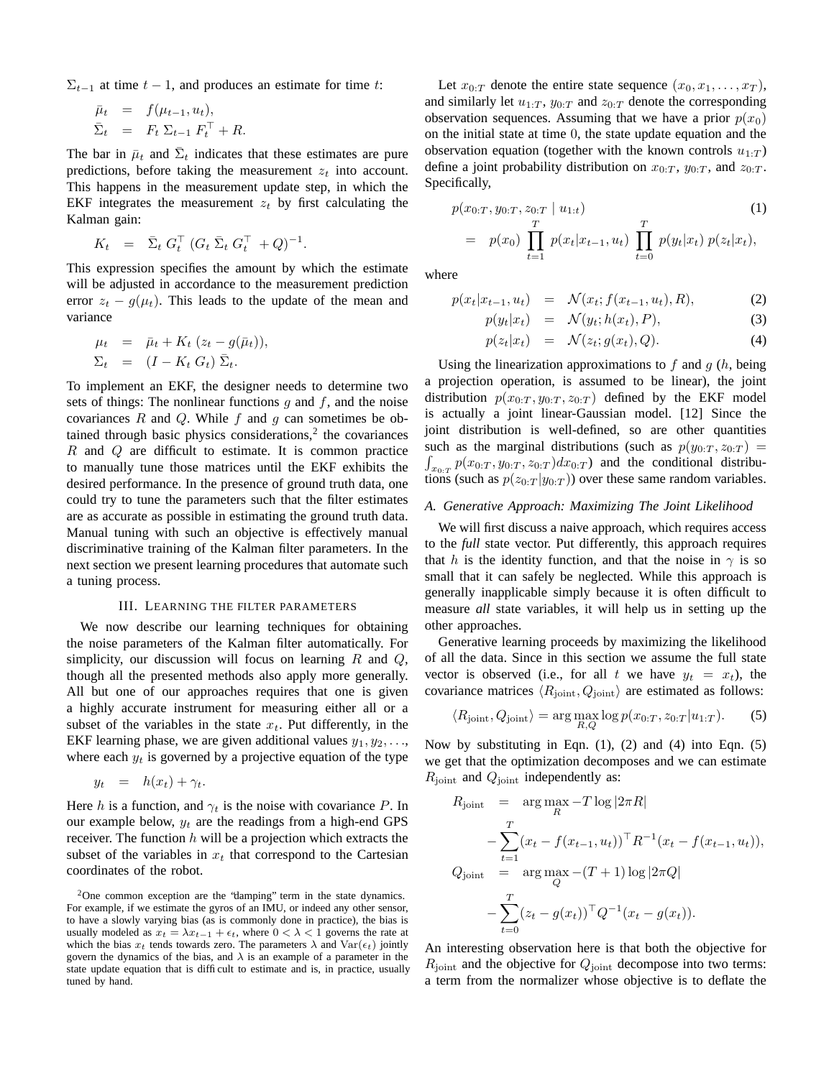$\Sigma_{t-1}$  at time  $t-1$ , and produces an estimate for time t:

$$
\begin{array}{rcl}\n\bar{\mu}_t &=& f(\mu_{t-1}, u_t), \\
\bar{\Sigma}_t &=& F_t \Sigma_{t-1} F_t^\top + R.\n\end{array}
$$

The bar in  $\bar{\mu}_t$  and  $\bar{\Sigma}_t$  indicates that these estimates are pure predictions, before taking the measurement  $z_t$  into account. This happens in the measurement update step, in which the EKF integrates the measurement  $z_t$  by first calculating the Kalman gain:

$$
K_t = \bar{\Sigma}_t G_t^{\top} (G_t \bar{\Sigma}_t G_t^{\top} + Q)^{-1}.
$$

This expression specifies the amount by which the estimate will be adjusted in accordance to the measurement prediction error  $z_t - q(\mu_t)$ . This leads to the update of the mean and variance

$$
\mu_t = \bar{\mu}_t + K_t (z_t - g(\bar{\mu}_t)),
$$
  
\n
$$
\Sigma_t = (I - K_t G_t) \bar{\Sigma}_t.
$$

To implement an EKF, the designer needs to determine two sets of things: The nonlinear functions  $q$  and  $f$ , and the noise covariances  $R$  and  $Q$ . While  $f$  and  $q$  can sometimes be obtained through basic physics considerations, $2$  the covariances  $R$  and  $Q$  are difficult to estimate. It is common practice to manually tune those matrices until the EKF exhibits the desired performance. In the presence of ground truth data, one could try to tune the parameters such that the filter estimates are as accurate as possible in estimating the ground truth data. Manual tuning with such an objective is effectively manual discriminative training of the Kalman filter parameters. In the next section we present learning procedures that automate such a tuning process.

#### III. LEARNING THE FILTER PARAMETERS

We now describe our learning techniques for obtaining the noise parameters of the Kalman filter automatically. For simplicity, our discussion will focus on learning  $R$  and  $Q$ , though all the presented methods also apply more generally. All but one of our approaches requires that one is given a highly accurate instrument for measuring either all or a subset of the variables in the state  $x_t$ . Put differently, in the EKF learning phase, we are given additional values  $y_1, y_2, \ldots$ where each  $y_t$  is governed by a projective equation of the type

$$
y_t = h(x_t) + \gamma_t.
$$

Here h is a function, and  $\gamma_t$  is the noise with covariance P. In our example below,  $y_t$  are the readings from a high-end GPS receiver. The function  $h$  will be a projection which extracts the subset of the variables in  $x_t$  that correspond to the Cartesian coordinates of the robot.

Let  $x_{0:T}$  denote the entire state sequence  $(x_0, x_1, \ldots, x_T)$ , and similarly let  $u_{1:T}$ ,  $y_{0:T}$  and  $z_{0:T}$  denote the corresponding observation sequences. Assuming that we have a prior  $p(x_0)$ on the initial state at time 0, the state update equation and the observation equation (together with the known controls  $u_{1:T}$ ) define a joint probability distribution on  $x_{0:T}$ ,  $y_{0:T}$ , and  $z_{0:T}$ . Specifically,

$$
p(x_{0:T}, y_{0:T}, z_{0:T} | u_{1:t})
$$
\n
$$
= p(x_0) \prod_{t=1}^T p(x_t | x_{t-1}, u_t) \prod_{t=0}^T p(y_t | x_t) p(z_t | x_t),
$$
\n(1)

where

$$
p(x_t|x_{t-1}, u_t) = \mathcal{N}(x_t; f(x_{t-1}, u_t), R), \tag{2}
$$

$$
p(y_t|x_t) = \mathcal{N}(y_t; h(x_t), P), \tag{3}
$$

$$
p(z_t|x_t) = \mathcal{N}(z_t; g(x_t), Q). \tag{4}
$$

Using the linearization approximations to  $f$  and  $g$  ( $h$ , being a projection operation, is assumed to be linear), the joint distribution  $p(x_{0:T}, y_{0:T}, z_{0:T})$  defined by the EKF model is actually a joint linear-Gaussian model. [12] Since the joint distribution is well-defined, so are other quantities such as the marginal distributions (such as  $p(y_{0:T}, z_{0:T})$  =  $x_{0:T} p(x_{0:T}, y_{0:T}, z_{0:T}) dx_{0:T}$  and the conditional distributions (such as  $p(z_{0:T} | y_{0:T})$ ) over these same random variables.

#### *A. Generative Approach: Maximizing The Joint Likelihood*

We will first discuss a naive approach, which requires access to the *full* state vector. Put differently, this approach requires that h is the identity function, and that the noise in  $\gamma$  is so small that it can safely be neglected. While this approach is generally inapplicable simply because it is often difficult to measure *all* state variables, it will help us in setting up the other approaches.

Generative learning proceeds by maximizing the likelihood of all the data. Since in this section we assume the full state vector is observed (i.e., for all t we have  $y_t = x_t$ ), the covariance matrices  $\langle R_{\text{joint}}, Q_{\text{joint}} \rangle$  are estimated as follows:

$$
\langle R_{\text{joint}}, Q_{\text{joint}} \rangle = \arg \max_{R, Q} \log p(x_{0:T}, z_{0:T} | u_{1:T}). \tag{5}
$$

Now by substituting in Eqn.  $(1)$ ,  $(2)$  and  $(4)$  into Eqn.  $(5)$ we get that the optimization decomposes and we can estimate  $R_{\text{joint}}$  and  $Q_{\text{joint}}$  independently as:

$$
R_{\text{joint}} = \underset{R}{\arg \max} -T \log |2\pi R|
$$
  
- 
$$
\sum_{t=1}^{T} (x_t - f(x_{t-1}, u_t))^{\top} R^{-1} (x_t - f(x_{t-1}, u_t)),
$$
  
 
$$
Q_{\text{joint}} = \underset{Q}{\arg \max} - (T + 1) \log |2\pi Q|
$$
  
- 
$$
\sum_{t=0}^{T} (z_t - g(x_t))^{\top} Q^{-1} (x_t - g(x_t)).
$$

An interesting observation here is that both the objective for  $R_{\text{joint}}$  and the objective for  $Q_{\text{joint}}$  decompose into two terms: a term from the normalizer whose objective is to deflate the

 $2$ One common exception are the "damping" term in the state dynamics. For example, if we estimate the gyros of an IMU, or indeed any other sensor, to have a slowly varying bias (as is commonly done in practice), the bias is usually modeled as  $x_t = \lambda x_{t-1} + \epsilon_t$ , where  $0 < \lambda < 1$  governs the rate at which the bias  $x_t$  tends towards zero. The parameters  $\lambda$  and  $\text{Var}(\epsilon_t)$  jointly govern the dynamics of the bias, and  $\lambda$  is an example of a parameter in the state update equation that is difficult to estimate and is, in practice, usually tuned by hand.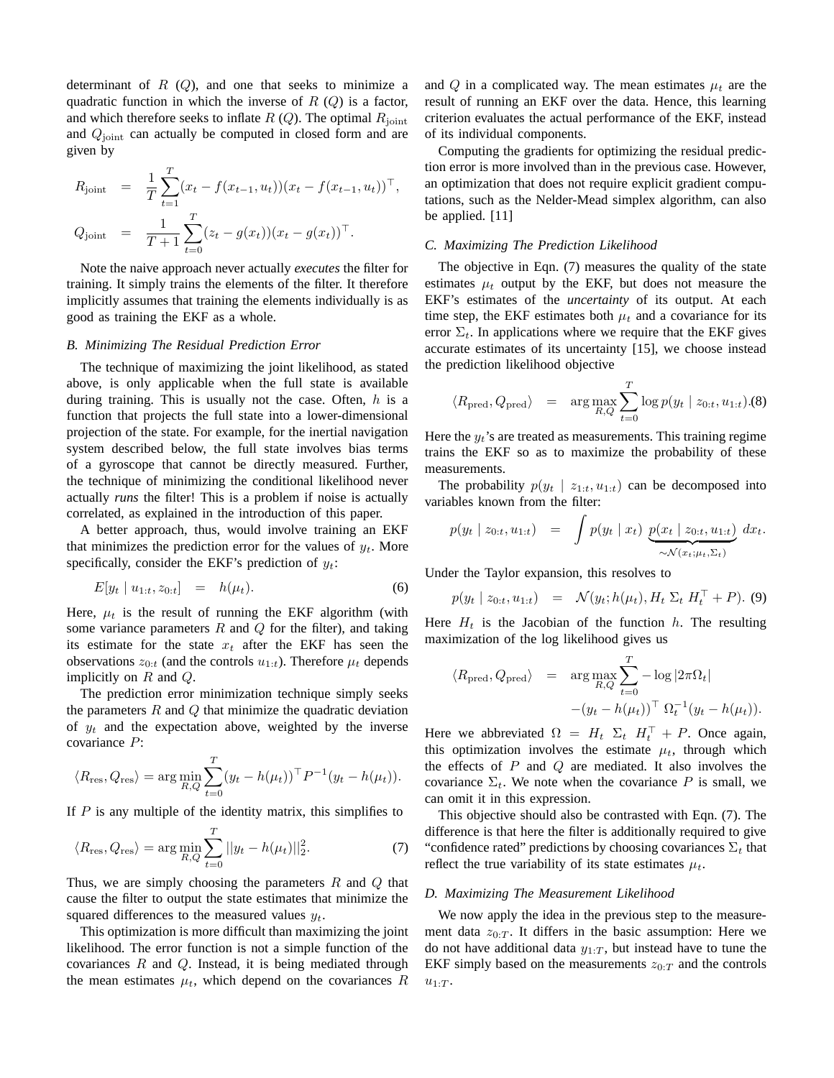determinant of  $R(Q)$ , and one that seeks to minimize a quadratic function in which the inverse of  $R(Q)$  is a factor, and which therefore seeks to inflate  $R(Q)$ . The optimal  $R_{joint}$ and  $Q<sub>joint</sub>$  can actually be computed in closed form and are given by

$$
R_{\text{joint}} = \frac{1}{T} \sum_{t=1}^{T} (x_t - f(x_{t-1}, u_t)) (x_t - f(x_{t-1}, u_t))^\top,
$$
  
\n
$$
Q_{\text{joint}} = \frac{1}{T+1} \sum_{t=0}^{T} (z_t - g(x_t)) (x_t - g(x_t))^\top.
$$

Note the naive approach never actually *executes* the filter for training. It simply trains the elements of the filter. It therefore implicitly assumes that training the elements individually is as good as training the EKF as a whole.

#### *B. Minimizing The Residual Prediction Error*

The technique of maximizing the joint likelihood, as stated above, is only applicable when the full state is available during training. This is usually not the case. Often,  $h$  is a function that projects the full state into a lower-dimensional projection of the state. For example, for the inertial navigation system described below, the full state involves bias terms of a gyroscope that cannot be directly measured. Further, the technique of minimizing the conditional likelihood never actually *runs* the filter! This is a problem if noise is actually correlated, as explained in the introduction of this paper.

A better approach, thus, would involve training an EKF that minimizes the prediction error for the values of  $y_t$ . More specifically, consider the EKF's prediction of  $y_t$ :

$$
E[y_t \mid u_{1:t}, z_{0:t}] = h(\mu_t). \tag{6}
$$

Here,  $\mu_t$  is the result of running the EKF algorithm (with some variance parameters  $R$  and  $Q$  for the filter), and taking its estimate for the state  $x_t$  after the EKF has seen the observations  $z_{0:t}$  (and the controls  $u_{1:t}$ ). Therefore  $\mu_t$  depends implicitly on  $R$  and  $Q$ .

The prediction error minimization technique simply seeks the parameters  $R$  and  $Q$  that minimize the quadratic deviation of  $y_t$  and the expectation above, weighted by the inverse covariance P:

$$
\langle R_{\text{res}}, Q_{\text{res}} \rangle = \arg \min_{R,Q} \sum_{t=0}^{T} (y_t - h(\mu_t))^{\top} P^{-1} (y_t - h(\mu_t)).
$$

If  $P$  is any multiple of the identity matrix, this simplifies to

$$
\langle R_{\text{res}}, Q_{\text{res}} \rangle = \arg \min_{R, Q} \sum_{t=0}^{T} ||y_t - h(\mu_t)||_2^2.
$$
 (7)

Thus, we are simply choosing the parameters  $R$  and  $Q$  that cause the filter to output the state estimates that minimize the squared differences to the measured values  $y_t$ .

This optimization is more difficult than maximizing the joint likelihood. The error function is not a simple function of the covariances  $R$  and  $Q$ . Instead, it is being mediated through the mean estimates  $\mu_t$ , which depend on the covariances R and Q in a complicated way. The mean estimates  $\mu_t$  are the result of running an EKF over the data. Hence, this learning criterion evaluates the actual performance of the EKF, instead of its individual components.

Computing the gradients for optimizing the residual prediction error is more involved than in the previous case. However, an optimization that does not require explicit gradient computations, such as the Nelder-Mead simplex algorithm, can also be applied. [11]

# *C. Maximizing The Prediction Likelihood*

The objective in Eqn. (7) measures the quality of the state estimates  $\mu_t$  output by the EKF, but does not measure the EKF's estimates of the *uncertainty* of its output. At each time step, the EKF estimates both  $\mu_t$  and a covariance for its error  $\Sigma_t$ . In applications where we require that the EKF gives accurate estimates of its uncertainty [15], we choose instead the prediction likelihood objective

$$
\langle R_{\text{pred}}, Q_{\text{pred}} \rangle = \arg \max_{R,Q} \sum_{t=0}^{T} \log p(y_t \mid z_{0:t}, u_{1:t}).(8)
$$

Here the  $y_t$ 's are treated as measurements. This training regime trains the EKF so as to maximize the probability of these measurements.

The probability  $p(y_t | z_{1:t}, u_{1:t})$  can be decomposed into variables known from the filter:

$$
p(y_t \mid z_{0:t}, u_{1:t}) = \int p(y_t \mid x_t) \underbrace{p(x_t \mid z_{0:t}, u_{1:t})}_{\sim \mathcal{N}(x_t; \mu_t, \Sigma_t)} dx_t.
$$

Under the Taylor expansion, this resolves to

$$
p(y_t \mid z_{0:t}, u_{1:t}) = \mathcal{N}(y_t; h(\mu_t), H_t \Sigma_t H_t^{\top} + P). (9)
$$

Here  $H_t$  is the Jacobian of the function h. The resulting maximization of the log likelihood gives us

$$
\langle R_{\text{pred}}, Q_{\text{pred}} \rangle = \arg \max_{R, Q} \sum_{t=0}^{T} -\log |2\pi \Omega_t|
$$

$$
-(y_t - h(\mu_t))^{\top} \Omega_t^{-1} (y_t - h(\mu_t)).
$$

Here we abbreviated  $\Omega = H_t \Sigma_t H_t^{\top} + P$ . Once again, this optimization involves the estimate  $\mu_t$ , through which the effects of  $P$  and  $Q$  are mediated. It also involves the covariance  $\Sigma_t$ . We note when the covariance P is small, we can omit it in this expression.

This objective should also be contrasted with Eqn. (7). The difference is that here the filter is additionally required to give "confidence rated" predictions by choosing covariances  $\Sigma_t$  that reflect the true variability of its state estimates  $\mu_t$ .

#### *D. Maximizing The Measurement Likelihood*

We now apply the idea in the previous step to the measurement data  $z_{0:T}$ . It differs in the basic assumption: Here we do not have additional data  $y_{1:T}$ , but instead have to tune the EKF simply based on the measurements  $z_{0:T}$  and the controls  $u_{1:T}$ .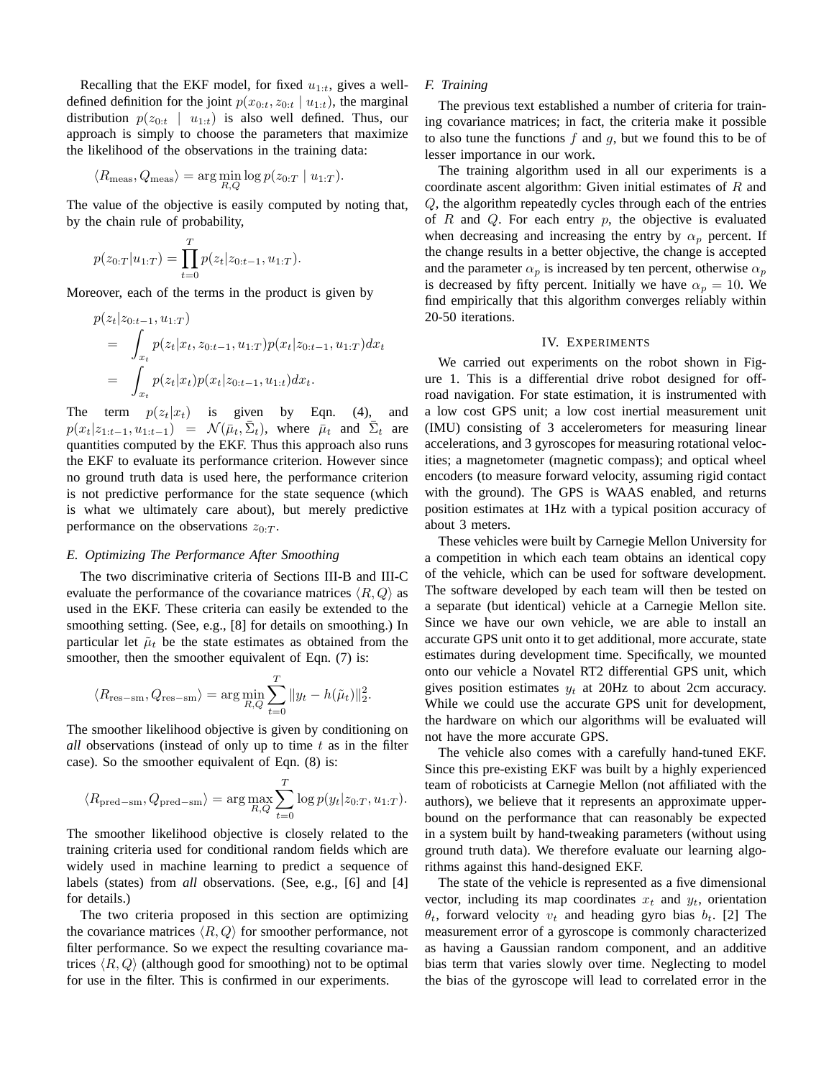Recalling that the EKF model, for fixed  $u_{1:t}$ , gives a welldefined definition for the joint  $p(x_{0:t}, z_{0:t} | u_{1:t})$ , the marginal distribution  $p(z_{0:t} | u_{1:t})$  is also well defined. Thus, our approach is simply to choose the parameters that maximize the likelihood of the observations in the training data:

$$
\langle R_{\text{meas}}, Q_{\text{meas}} \rangle = \arg\min_{R,Q} \log p(z_{0:T} \mid u_{1:T}).
$$

The value of the objective is easily computed by noting that, by the chain rule of probability,

$$
p(z_{0:T}|u_{1:T}) = \prod_{t=0}^{T} p(z_t|z_{0:t-1}, u_{1:T}).
$$

Moreover, each of the terms in the product is given by

$$
p(z_t|z_{0:t-1}, u_{1:T})
$$
  
= 
$$
\int_{x_t} p(z_t|x_t, z_{0:t-1}, u_{1:T}) p(x_t|z_{0:t-1}, u_{1:T}) dx_t
$$
  
= 
$$
\int_{x_t} p(z_t|x_t) p(x_t|z_{0:t-1}, u_{1:t}) dx_t.
$$

The term  $p(z_t|x_t)$  is given by Eqn. (4), and  $p(x_t|z_{1:t-1}, u_{1:t-1}) = \mathcal{N}(\bar{\mu}_t, \bar{\Sigma}_t)$ , where  $\bar{\mu}_t$  and  $\bar{\Sigma}_t$  are quantities computed by the EKF. Thus this approach also runs the EKF to evaluate its performance criterion. However since no ground truth data is used here, the performance criterion is not predictive performance for the state sequence (which is what we ultimately care about), but merely predictive performance on the observations  $z_0$ .

#### *E. Optimizing The Performance After Smoothing*

The two discriminative criteria of Sections III-B and III-C evaluate the performance of the covariance matrices  $\langle R, Q \rangle$  as used in the EKF. These criteria can easily be extended to the smoothing setting. (See, e.g., [8] for details on smoothing.) In particular let  $\tilde{\mu}_t$  be the state estimates as obtained from the smoother, then the smoother equivalent of Eqn. (7) is:

$$
\langle R_{\text{res--sm}}, Q_{\text{res--sm}} \rangle = \arg \min_{R,Q} \sum_{t=0}^{T} ||y_t - h(\tilde{\mu}_t)||_2^2.
$$

The smoother likelihood objective is given by conditioning on *all* observations (instead of only up to time t as in the filter case). So the smoother equivalent of Eqn. (8) is:

$$
\langle R_{\text{pred-sm}}, Q_{\text{pred-sm}} \rangle = \arg \max_{R,Q} \sum_{t=0}^{T} \log p(y_t | z_{0:T}, u_{1:T}).
$$

The smoother likelihood objective is closely related to the training criteria used for conditional random fields which are widely used in machine learning to predict a sequence of labels (states) from *all* observations. (See, e.g., [6] and [4] for details.)

The two criteria proposed in this section are optimizing the covariance matrices  $\langle R, Q \rangle$  for smoother performance, not filter performance. So we expect the resulting covariance matrices  $\langle R, Q \rangle$  (although good for smoothing) not to be optimal for use in the filter. This is confirmed in our experiments.

#### *F. Training*

The previous text established a number of criteria for training covariance matrices; in fact, the criteria make it possible to also tune the functions  $f$  and  $g$ , but we found this to be of lesser importance in our work.

The training algorithm used in all our experiments is a coordinate ascent algorithm: Given initial estimates of R and Q, the algorithm repeatedly cycles through each of the entries of  $R$  and  $Q$ . For each entry  $p$ , the objective is evaluated when decreasing and increasing the entry by  $\alpha_p$  percent. If the change results in a better objective, the change is accepted and the parameter  $\alpha_p$  is increased by ten percent, otherwise  $\alpha_p$ is decreased by fifty percent. Initially we have  $\alpha_p = 10$ . We find empirically that this algorithm converges reliably within 20-50 iterations.

# IV. EXPERIMENTS

We carried out experiments on the robot shown in Figure 1. This is a differential drive robot designed for offroad navigation. For state estimation, it is instrumented with a low cost GPS unit; a low cost inertial measurement unit (IMU) consisting of 3 accelerometers for measuring linear accelerations, and 3 gyroscopes for measuring rotational velocities; a magnetometer (magnetic compass); and optical wheel encoders (to measure forward velocity, assuming rigid contact with the ground). The GPS is WAAS enabled, and returns position estimates at 1Hz with a typical position accuracy of about 3 meters.

These vehicles were built by Carnegie Mellon University for a competition in which each team obtains an identical copy of the vehicle, which can be used for software development. The software developed by each team will then be tested on a separate (but identical) vehicle at a Carnegie Mellon site. Since we have our own vehicle, we are able to install an accurate GPS unit onto it to get additional, more accurate, state estimates during development time. Specifically, we mounted onto our vehicle a Novatel RT2 differential GPS unit, which gives position estimates  $y_t$  at 20Hz to about 2cm accuracy. While we could use the accurate GPS unit for development, the hardware on which our algorithms will be evaluated will not have the more accurate GPS.

The vehicle also comes with a carefully hand-tuned EKF. Since this pre-existing EKF was built by a highly experienced team of roboticists at Carnegie Mellon (not affiliated with the authors), we believe that it represents an approximate upperbound on the performance that can reasonably be expected in a system built by hand-tweaking parameters (without using ground truth data). We therefore evaluate our learning algorithms against this hand-designed EKF.

The state of the vehicle is represented as a five dimensional vector, including its map coordinates  $x_t$  and  $y_t$ , orientation  $\theta_t$ , forward velocity  $v_t$  and heading gyro bias  $b_t$ . [2] The measurement error of a gyroscope is commonly characterized as having a Gaussian random component, and an additive bias term that varies slowly over time. Neglecting to model the bias of the gyroscope will lead to correlated error in the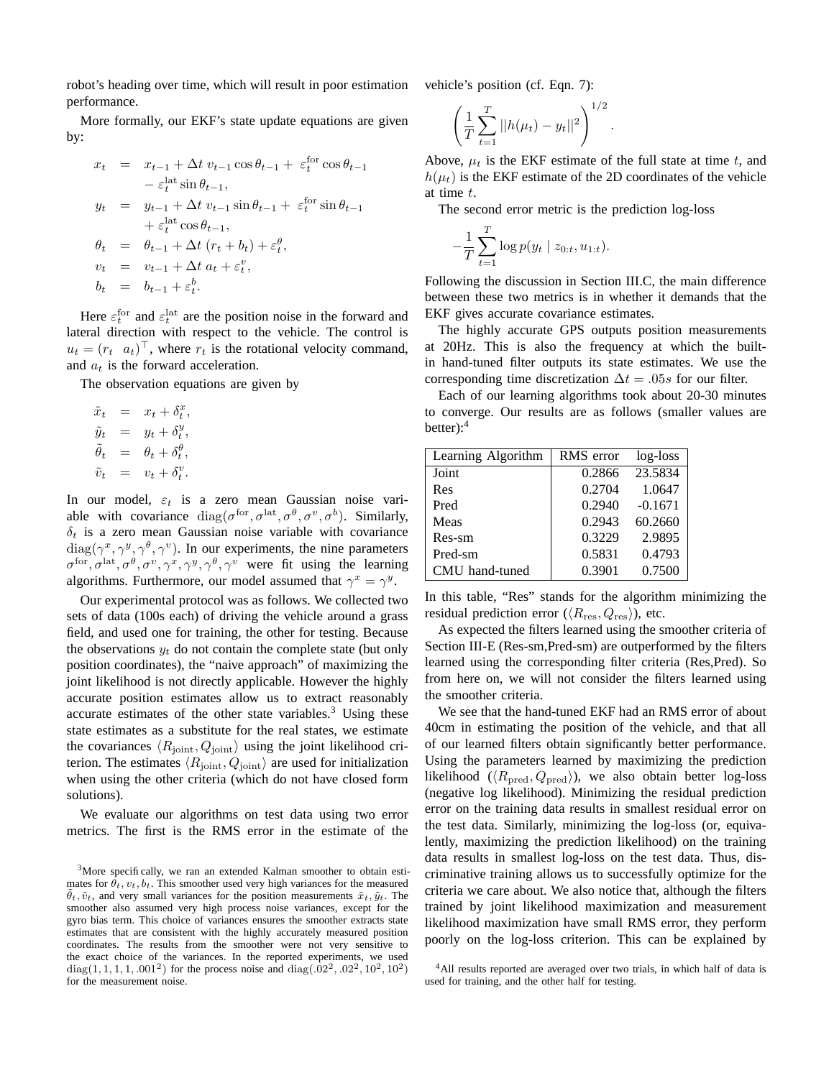robot's heading over time, which will result in poor estimation performance.

More formally, our EKF's state update equations are given by:

$$
x_t = x_{t-1} + \Delta t \, v_{t-1} \cos \theta_{t-1} + \varepsilon_t^{\text{for}} \cos \theta_{t-1}
$$
  
\t
$$
- \varepsilon_t^{\text{lat}} \sin \theta_{t-1},
$$
  
\t
$$
y_t = y_{t-1} + \Delta t \, v_{t-1} \sin \theta_{t-1} + \varepsilon_t^{\text{for}} \sin \theta_{t-1}
$$
  
\t
$$
+ \varepsilon_t^{\text{lat}} \cos \theta_{t-1},
$$
  
\t
$$
\theta_t = \theta_{t-1} + \Delta t \, (r_t + b_t) + \varepsilon_t^{\theta},
$$
  
\t
$$
v_t = v_{t-1} + \Delta t \, a_t + \varepsilon_t^v,
$$
  
\t
$$
b_t = b_{t-1} + \varepsilon_t^b.
$$

Here  $\varepsilon_t^{\text{for}}$  and  $\varepsilon_t^{\text{lat}}$  are the position noise in the forward and lateral direction with respect to the vehicle. The control is  $u_t = (r_t \ a_t)^{\top}$ , where  $r_t$  is the rotational velocity command, and  $a_t$  is the forward acceleration.

The observation equations are given by

$$
\begin{array}{rcl}\n\tilde{x}_t &=& x_t + \delta_t^x, \\
\tilde{y}_t &=& y_t + \delta_t^y, \\
\tilde{\theta}_t &=& \theta_t + \delta_t^{\theta}, \\
\tilde{v}_t &=& v_t + \delta_t^v.\n\end{array}
$$

In our model,  $\varepsilon_t$  is a zero mean Gaussian noise variable with covariance  $diag(\sigma^{for}, \sigma^{lat}, \sigma^{\theta}, \sigma^{\nu}, \sigma^{b})$ . Similarly,  $\delta_t$  is a zero mean Gaussian noise variable with covariance  $diag(\gamma^x, \gamma^y, \gamma^\theta, \gamma^\nu)$ . In our experiments, the nine parameters  $\sigma^{\text{for}}, \sigma^{\text{lat}}, \sigma^{\theta}, \sigma^{\text{v}}, \gamma^x, \gamma^y, \gamma^{\theta}, \gamma^{\text{v}}$  were fit using the learning algorithms. Furthermore, our model assumed that  $\gamma^x = \gamma^y$ .

Our experimental protocol was as follows. We collected two sets of data (100s each) of driving the vehicle around a grass field, and used one for training, the other for testing. Because the observations  $y_t$  do not contain the complete state (but only position coordinates), the "naive approach" of maximizing the joint likelihood is not directly applicable. However the highly accurate position estimates allow us to extract reasonably accurate estimates of the other state variables. $3$  Using these state estimates as a substitute for the real states, we estimate the covariances  $\langle R_{\text{joint}}, Q_{\text{joint}} \rangle$  using the joint likelihood criterion. The estimates  $\langle R_{\text{joint}}, Q_{\text{joint}} \rangle$  are used for initialization when using the other criteria (which do not have closed form solutions).

We evaluate our algorithms on test data using two error metrics. The first is the RMS error in the estimate of the vehicle's position (cf. Eqn. 7):

$$
\left(\frac{1}{T}\sum_{t=1}^T ||h(\mu_t) - y_t||^2\right)^{1/2}.
$$

Above,  $\mu_t$  is the EKF estimate of the full state at time t, and  $h(\mu_t)$  is the EKF estimate of the 2D coordinates of the vehicle at time t.

The second error metric is the prediction log-loss

$$
-\frac{1}{T}\sum_{t=1}^T \log p(y_t | z_{0:t}, u_{1:t}).
$$

Following the discussion in Section III.C, the main difference between these two metrics is in whether it demands that the EKF gives accurate covariance estimates.

The highly accurate GPS outputs position measurements at 20Hz. This is also the frequency at which the builtin hand-tuned filter outputs its state estimates. We use the corresponding time discretization  $\Delta t = .05s$  for our filter.

Each of our learning algorithms took about 20-30 minutes to converge. Our results are as follows (smaller values are better):<sup>4</sup>

| Learning Algorithm | RMS error | log-loss  |
|--------------------|-----------|-----------|
| Joint              | 0.2866    | 23.5834   |
| Res                | 0.2704    | 1.0647    |
| Pred               | 0.2940    | $-0.1671$ |
| Meas               | 0.2943    | 60.2660   |
| Res-sm             | 0.3229    | 2.9895    |
| Pred-sm            | 0.5831    | 0.4793    |
| CMU hand-tuned     | 0.3901    | 0.7500    |

In this table, "Res" stands for the algorithm minimizing the residual prediction error ( $\langle R_{\rm res}, Q_{\rm res} \rangle$ ), etc.

As expected the filters learned using the smoother criteria of Section III-E (Res-sm,Pred-sm) are outperformed by the filters learned using the corresponding filter criteria (Res,Pred). So from here on, we will not consider the filters learned using the smoother criteria.

We see that the hand-tuned EKF had an RMS error of about 40cm in estimating the position of the vehicle, and that all of our learned filters obtain significantly better performance. Using the parameters learned by maximizing the prediction likelihood ( $\langle R_{\text{pred}}, Q_{\text{pred}} \rangle$ ), we also obtain better log-loss (negative log likelihood). Minimizing the residual prediction error on the training data results in smallest residual error on the test data. Similarly, minimizing the log-loss (or, equivalently, maximizing the prediction likelihood) on the training data results in smallest log-loss on the test data. Thus, discriminative training allows us to successfully optimize for the criteria we care about. We also notice that, although the filters trained by joint likelihood maximization and measurement likelihood maximization have small RMS error, they perform poorly on the log-loss criterion. This can be explained by

<sup>&</sup>lt;sup>3</sup>More specifically, we ran an extended Kalman smoother to obtain estimates for  $\theta_t$ ,  $v_t$ ,  $b_t$ . This smoother used very high variances for the measured  $\ddot{\theta}_t$ ,  $\tilde{v}_t$ , and very small variances for the position measurements  $\tilde{x}_t$ ,  $\tilde{v}_t$ . The smoother also assumed very high process noise variances, except for the gyro bias term. This choice of variances ensures the smoother extracts state estimates that are consistent with the highly accurately measured position coordinates. The results from the smoother were not very sensitive to the exact choice of the variances. In the reported experiments, we used diag(1, 1, 1, 1, .001<sup>2</sup>) for the process noise and diag(.02<sup>2</sup>, .02<sup>2</sup>, 10<sup>2</sup>, 10<sup>2</sup>) for the measurement noise.

<sup>&</sup>lt;sup>4</sup>All results reported are averaged over two trials, in which half of data is used for training, and the other half for testing.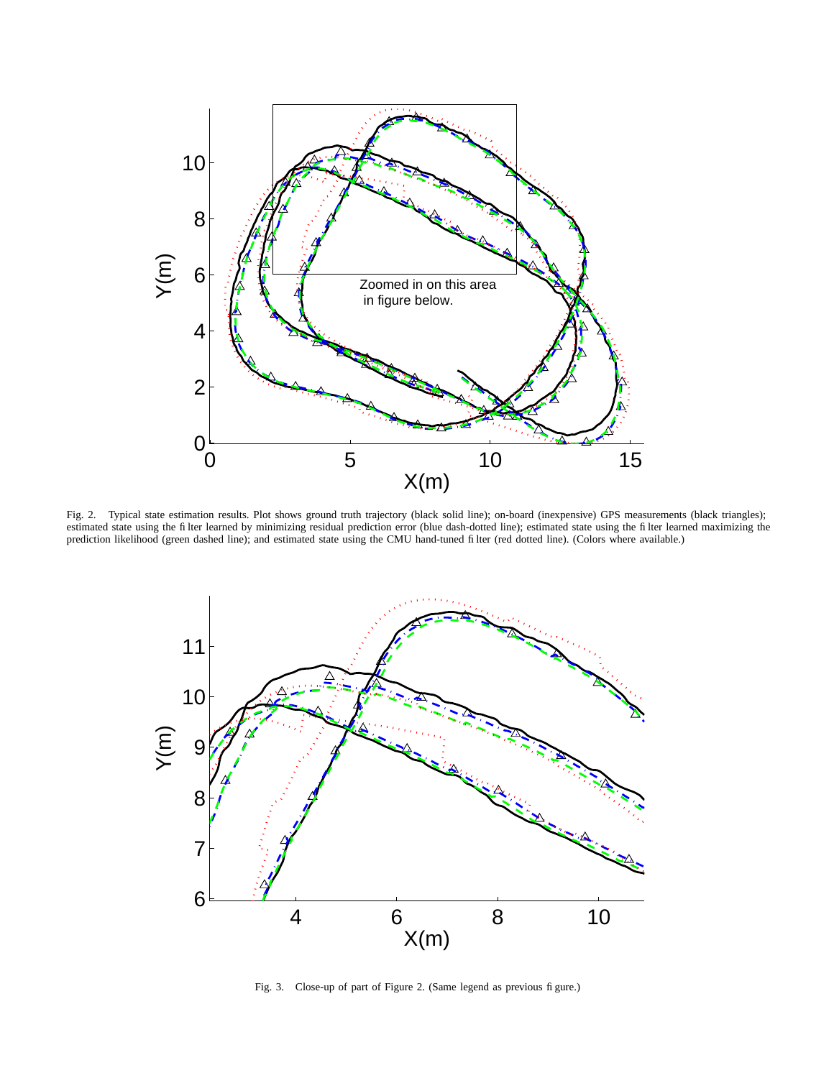

Fig. 2. Typical state estimation results. Plot shows ground truth trajectory (black solid line); on-board (inexpensive) GPS measurements (black triangles); estimated state using the filter learned by minimizing residual prediction error (blue dash-dotted line); estimated state using the filter learned maximizing the prediction likelihood (green dashed line); and estimated state using the CMU hand-tuned filter (red dotted line). (Colors where available.)



Fig. 3. Close-up of part of Figure 2. (Same legend as previous figure.)